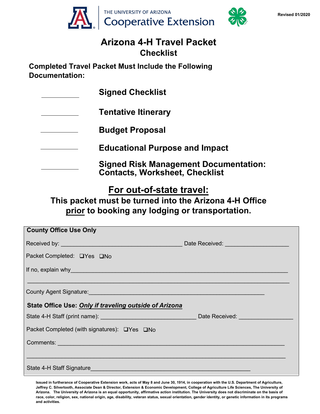



#### **Arizona 4-H Travel Packet Checklist**

**Completed Travel Packet Must Include the Following Documentation:** 

**Signed Checklist Tentative Itinerary Budget Proposal Educational Purpose and Impact Signed Risk Management Documentation: Contacts, Worksheet, Checklist**

## **For out-of-state travel:**

**This packet must be turned into the Arizona 4-H Office prior to booking any lodging or transportation.**

| <b>County Office Use Only</b>                                                                                                                                                                                                  |  |
|--------------------------------------------------------------------------------------------------------------------------------------------------------------------------------------------------------------------------------|--|
|                                                                                                                                                                                                                                |  |
| Packet Completed: □Yes □No                                                                                                                                                                                                     |  |
| If no, explain why will be a series of the contract of the contract of the contract of the contract of the contract of the contract of the contract of the contract of the contract of the contract of the contract of the con |  |
|                                                                                                                                                                                                                                |  |
|                                                                                                                                                                                                                                |  |
| State Office Use: Only if traveling outside of Arizona                                                                                                                                                                         |  |
|                                                                                                                                                                                                                                |  |
| Packet Completed (with signatures): □Yes □No                                                                                                                                                                                   |  |
| Comments: Comments: Comments: Comments: Comments: Comments: Comments: Comments: Comments: Comments: Comments: Comments: Comments: Comments: Comments: Comments: Comments: Comments: Comments: Comments: Comments: Comments: Co |  |
|                                                                                                                                                                                                                                |  |
| State 4-H Staff Signature <b>Example 2018</b> State 4-H Staff Signature                                                                                                                                                        |  |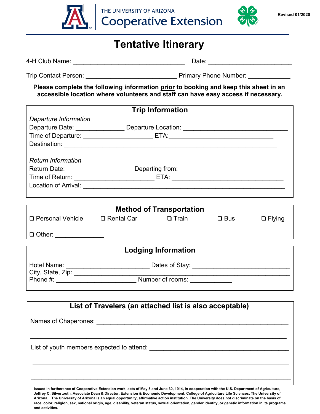



## **Tentative Itinerary**

4-H Club Name: \_\_\_\_\_\_\_\_\_\_\_\_\_\_\_\_\_\_\_\_\_\_\_\_\_\_\_\_\_\_\_\_ Date: \_\_\_\_\_\_\_\_\_\_\_\_\_\_\_\_\_\_\_\_\_\_\_\_ Trip Contact Person: <br>
Trip Contact Person: Trip Contact Person: 2012 **Please complete the following information prior to booking and keep this sheet in an accessible location where volunteers and staff can have easy access if necessary. Trip Information** *Departure Information* Departure Date: \_\_\_\_\_\_\_\_\_\_\_\_\_\_\_\_\_\_ Departure Location: \_\_\_\_\_\_\_\_\_\_\_\_\_\_\_\_\_\_\_\_\_\_\_\_\_\_ Time of Departure: \_\_\_\_\_\_\_\_\_\_\_\_\_\_\_\_\_\_\_\_\_\_\_\_\_ ETA: \_\_\_\_\_\_\_\_\_\_\_\_\_\_\_\_\_\_\_\_\_\_\_\_\_\_\_\_\_\_ Destination: \_\_\_\_\_\_\_\_\_\_\_\_\_\_\_\_\_\_\_\_\_\_\_\_\_\_\_\_\_\_\_\_\_\_\_\_\_\_\_\_\_\_\_\_\_\_\_\_\_\_\_\_\_\_\_\_\_\_\_\_\_ *Return Information* Return Date: \_\_\_\_\_\_\_\_\_\_\_\_\_\_\_\_\_\_\_\_\_\_\_\_\_\_\_\_ Departing from: \_\_\_\_\_\_\_\_\_\_\_\_\_\_\_\_\_\_\_\_\_\_\_ Time of Return: \_\_\_\_\_\_\_\_\_\_\_\_\_\_\_\_\_\_\_\_\_\_\_\_\_\_\_\_\_\_\_\_ETA: \_\_\_\_\_\_\_\_\_\_\_\_\_\_\_\_\_\_\_\_\_\_\_\_\_\_\_ Location of Arrival: **Method of Transportation**  $\Box$  Personal Vehicle  $\Box$  Rental Car  $\Box$  Train  $\Box$  Bus  $\Box$  Flying Other: \_\_\_\_\_\_\_\_\_\_\_\_\_\_ **List of Travelers (an attached list is also acceptable)** Names of Chaperones: \_\_\_\_\_\_\_\_\_\_\_\_\_\_\_\_\_\_\_\_\_\_\_\_\_\_\_\_\_\_\_\_\_\_\_\_\_\_\_\_\_\_\_\_\_\_\_\_\_\_\_\_\_\_\_ \_\_\_\_\_\_\_\_\_\_\_\_\_\_\_\_\_\_\_\_\_\_\_\_\_\_\_\_\_\_\_\_\_\_\_\_\_\_\_\_\_\_\_\_\_\_\_\_\_\_\_\_\_\_\_\_\_\_\_\_\_\_\_\_\_\_\_\_\_\_\_\_\_ List of youth members expected to attend:  $\Box$  \_\_\_\_\_\_\_\_\_\_\_\_\_\_\_\_\_\_\_\_\_\_\_\_\_\_\_\_\_\_\_\_\_\_\_\_\_\_\_\_\_\_\_\_\_\_\_\_\_\_\_\_\_\_\_\_\_\_\_\_\_\_\_\_\_\_\_\_\_\_\_\_\_ **Lodging Information** Hotel Name: \_\_\_\_\_\_\_\_\_\_\_\_\_\_\_\_\_\_\_\_\_\_\_\_\_\_\_\_\_\_\_\_\_\_ Dates of Stay: \_\_\_\_\_\_\_\_\_\_\_\_\_\_\_\_\_\_\_ City, State, Zip: \_\_\_\_\_\_\_\_\_\_\_\_\_\_\_\_\_\_\_\_\_\_\_\_\_\_\_\_\_\_\_\_\_\_\_\_\_\_\_\_\_\_\_\_\_\_\_\_\_\_\_\_\_\_\_\_\_\_\_\_\_\_ Phone #: \_\_\_\_\_\_\_\_\_\_\_\_\_\_\_\_\_\_\_\_\_\_\_ Number of rooms: \_\_\_\_\_\_\_\_\_\_\_\_

**Issued in furtherance of Cooperative Extension work, acts of May 8 and June 30, 1914, in cooperation with the U.S. Department of Agriculture, Jeffrey C. Silvertooth, Associate Dean & Director, Extension & Economic Development, College of Agriculture Life Sciences, The University of Arizona. The University of Arizona is an equal opportunity, affirmative action institution. The University does not discriminate on the basis of race, color, religion, sex, national origin, age, disability, veteran status, sexual orientation, gender identity, or genetic information in its programs and activities.** 

\_\_\_\_\_\_\_\_\_\_\_\_\_\_\_\_\_\_\_\_\_\_\_\_\_\_\_\_\_\_\_\_\_\_\_\_\_\_\_\_\_\_\_\_\_\_\_\_\_\_\_\_\_\_\_\_\_\_\_\_\_\_\_\_\_\_\_\_\_\_\_\_\_\_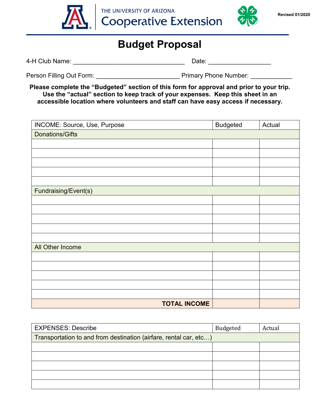

THE UNIVERSITY OF ARIZONA **Cooperative Extension** 



## **Budget Proposal**

4-H Club Name: \_\_\_\_\_\_\_\_\_\_\_\_\_\_\_\_\_\_\_\_\_\_\_\_\_\_\_\_\_\_\_\_ Date: \_\_\_\_\_\_\_\_\_\_\_\_\_\_\_\_\_\_

Person Filling Out Form: The Primary Phone Number: Let a Primary Phone Number:  $\blacksquare$ 

**Please complete the "Budgeted" section of this form for approval and prior to your trip. Use the "actual" section to keep track of your expenses. Keep this sheet in an accessible location where volunteers and staff can have easy access if necessary.**

| INCOME: Source, Use, Purpose | <b>Budgeted</b> | Actual |
|------------------------------|-----------------|--------|
| <b>Donations/Gifts</b>       |                 |        |
|                              |                 |        |
|                              |                 |        |
|                              |                 |        |
|                              |                 |        |
|                              |                 |        |
| Fundraising/Event(s)         |                 |        |
|                              |                 |        |
|                              |                 |        |
|                              |                 |        |
|                              |                 |        |
|                              |                 |        |
| All Other Income             |                 |        |
|                              |                 |        |
|                              |                 |        |
|                              |                 |        |
|                              |                 |        |
|                              |                 |        |
| <b>TOTAL INCOME</b>          |                 |        |

| <b>EXPENSES: Describe</b>                                         | Budgeted | Actual |
|-------------------------------------------------------------------|----------|--------|
| Transportation to and from destination (airfare, rental car, etc) |          |        |
|                                                                   |          |        |
|                                                                   |          |        |
|                                                                   |          |        |
|                                                                   |          |        |
|                                                                   |          |        |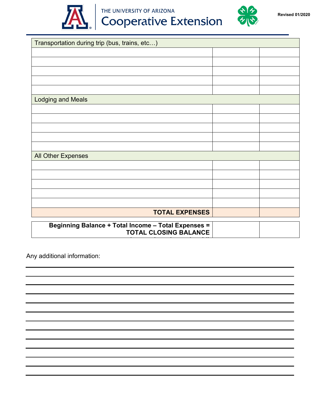

# **Cooperative Extension**



| Transportation during trip (bus, trains, etc)       |  |
|-----------------------------------------------------|--|
|                                                     |  |
|                                                     |  |
|                                                     |  |
|                                                     |  |
|                                                     |  |
| <b>Lodging and Meals</b>                            |  |
|                                                     |  |
|                                                     |  |
|                                                     |  |
|                                                     |  |
|                                                     |  |
| <b>All Other Expenses</b>                           |  |
|                                                     |  |
|                                                     |  |
|                                                     |  |
|                                                     |  |
|                                                     |  |
| <b>TOTAL EXPENSES</b>                               |  |
| Beginning Balance + Total Income - Total Expenses = |  |
| <b>TOTAL CLOSING BALANCE</b>                        |  |
|                                                     |  |

Any additional information: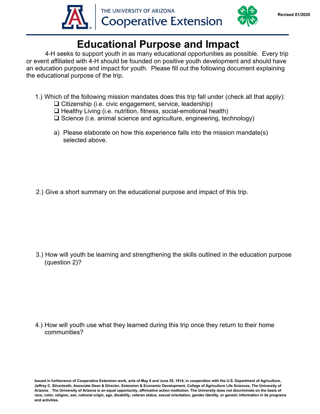



# **Educational Purpose and Impact**

4-H seeks to support youth in as many educational opportunities as possible. Every trip or event affiliated with 4-H should be founded on positive youth development and should have an education purpose and impact for youth. Please fill out the following document explaining the educational purpose of the trip.

- 1.) Which of the following mission mandates does this trip fall under (check all that apply):
	- $\Box$  Citizenship (i.e. civic engagement, service, leadership)
	- $\Box$  Healthy Living (i.e. nutrition, fitness, social-emotional health)
	- $\Box$  Science (i.e. animal science and agriculture, engineering, technology)
	- a) Please elaborate on how this experience falls into the mission mandate(s) selected above.

2.) Give a short summary on the educational purpose and impact of this trip.

3.) How will youth be learning and strengthening the skills outlined in the education purpose (question 2)?

4.) How will youth use what they learned during this trip once they return to their home communities?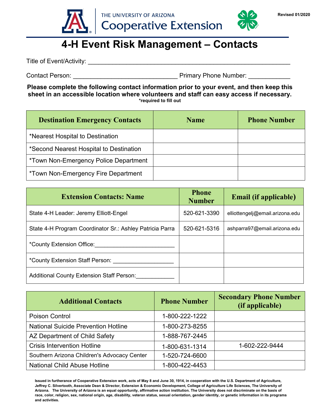

# **4-H Event Risk Management – Contacts**

Title of Event/Activity: \_\_\_\_\_\_\_\_\_\_\_\_\_\_\_\_\_\_\_\_\_\_\_\_\_\_\_\_\_\_\_\_\_\_\_\_\_\_\_\_\_\_\_\_\_\_\_\_\_\_\_\_\_\_\_\_\_\_

Contact Person: example and the example of the Primary Phone Number:  $\blacksquare$ 

**Please complete the following contact information prior to your event, and then keep this sheet in an accessible location where volunteers and staff can easy access if necessary. \*required to fill out**

| <b>Destination Emergency Contacts</b>      | <b>Name</b> | <b>Phone Number</b> |
|--------------------------------------------|-------------|---------------------|
| *Nearest Hospital to Destination           |             |                     |
| *Second Nearest Hospital to Destination    |             |                     |
| *Town Non-Emergency Police Department      |             |                     |
| <i>*Town Non-Emergency Fire Department</i> |             |                     |

| <b>Extension Contacts: Name</b>                          | <b>Phone</b><br><b>Number</b> | <b>Email (if applicable)</b>    |
|----------------------------------------------------------|-------------------------------|---------------------------------|
| State 4-H Leader: Jeremy Elliott-Engel                   | 520-621-3390                  | elliottengelj@email.arizona.edu |
| State 4-H Program Coordinator Sr.: Ashley Patricia Parra | 520-621-5316                  | ashparra97@email.arizona.edu    |
| *County Extension Office:                                |                               |                                 |
| *County Extension Staff Person:                          |                               |                                 |
| <b>Additional County Extension Staff Person:</b>         |                               |                                 |

| <b>Additional Contacts</b>                  | <b>Phone Number</b> | <b>Secondary Phone Number</b><br>(if applicable) |
|---------------------------------------------|---------------------|--------------------------------------------------|
| Poison Control                              | 1-800-222-1222      |                                                  |
| <b>National Suicide Prevention Hotline</b>  | 1-800-273-8255      |                                                  |
| AZ Department of Child Safety               | 1-888-767-2445      |                                                  |
| <b>Crisis Intervention Hotline</b>          | 1-800-631-1314      | 1-602-222-9444                                   |
| Southern Arizona Children's Advocacy Center | 1-520-724-6600      |                                                  |
| <b>National Child Abuse Hotline</b>         | 1-800-422-4453      |                                                  |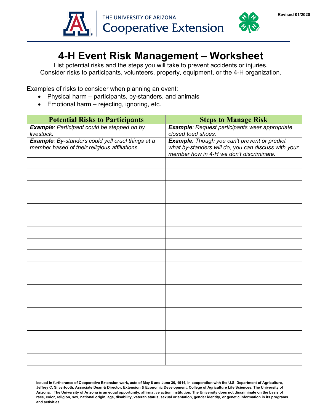



# **4-H Event Risk Management – Worksheet**

List potential risks and the steps you will take to prevent accidents or injuries. Consider risks to participants, volunteers, property, equipment, or the 4-H organization.

Examples of risks to consider when planning an event:

- Physical harm participants, by-standers, and animals
- Emotional harm rejecting, ignoring, etc.

| <b>Potential Risks to Participants</b>                                                             | <b>Steps to Manage Risk</b>                                                                                                                     |
|----------------------------------------------------------------------------------------------------|-------------------------------------------------------------------------------------------------------------------------------------------------|
| <b>Example: Participant could be stepped on by</b><br>livestock.                                   | Example: Request participants wear appropriate<br>closed toed shoes.                                                                            |
| Example: By-standers could yell cruel things at a<br>member based of their religious affiliations. | Example: Though you can't prevent or predict<br>what by-standers will do, you can discuss with your<br>member how in 4-H we don't discriminate. |
|                                                                                                    |                                                                                                                                                 |
|                                                                                                    |                                                                                                                                                 |
|                                                                                                    |                                                                                                                                                 |
|                                                                                                    |                                                                                                                                                 |
|                                                                                                    |                                                                                                                                                 |
|                                                                                                    |                                                                                                                                                 |
|                                                                                                    |                                                                                                                                                 |
|                                                                                                    |                                                                                                                                                 |
|                                                                                                    |                                                                                                                                                 |
|                                                                                                    |                                                                                                                                                 |
|                                                                                                    |                                                                                                                                                 |
|                                                                                                    |                                                                                                                                                 |
|                                                                                                    |                                                                                                                                                 |
|                                                                                                    |                                                                                                                                                 |
|                                                                                                    |                                                                                                                                                 |
|                                                                                                    |                                                                                                                                                 |
|                                                                                                    |                                                                                                                                                 |
|                                                                                                    |                                                                                                                                                 |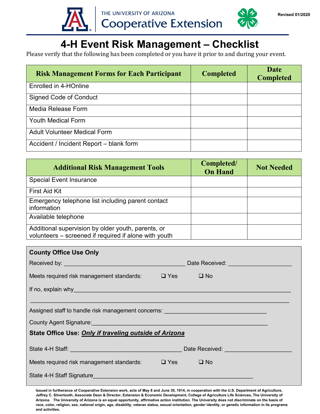



Please verify that the following has been completed or you have it prior to and during your event.

| <b>Risk Management Forms for Each Participant</b> | <b>Completed</b> | <b>Date</b><br><b>Completed</b> |
|---------------------------------------------------|------------------|---------------------------------|
| Enrolled in 4-HOnline                             |                  |                                 |
| <b>Signed Code of Conduct</b>                     |                  |                                 |
| Media Release Form                                |                  |                                 |
| <b>Youth Medical Form</b>                         |                  |                                 |
| <b>Adult Volunteer Medical Form</b>               |                  |                                 |
| Accident / Incident Report - blank form           |                  |                                 |

| <b>Additional Risk Management Tools</b>                                                                     | Completed/<br><b>On Hand</b> | <b>Not Needed</b> |
|-------------------------------------------------------------------------------------------------------------|------------------------------|-------------------|
| <b>Special Event Insurance</b>                                                                              |                              |                   |
| <b>First Aid Kit</b>                                                                                        |                              |                   |
| Emergency telephone list including parent contact<br>information                                            |                              |                   |
| Available telephone                                                                                         |                              |                   |
| Additional supervision by older youth, parents, or<br>volunteers - screened if required if alone with youth |                              |                   |

| <b>County Office Use Only</b>                                                                                                                                                                                                        |                                          |  |
|--------------------------------------------------------------------------------------------------------------------------------------------------------------------------------------------------------------------------------------|------------------------------------------|--|
|                                                                                                                                                                                                                                      | Date Received: Network and the Received: |  |
| Meets required risk management standards: $\Box$ Yes $\Box$ No                                                                                                                                                                       |                                          |  |
| If no, explain why example and the set of the set of the set of the set of the set of the set of the set of the                                                                                                                      |                                          |  |
|                                                                                                                                                                                                                                      |                                          |  |
| Assigned staff to handle risk management concerns: _____________________________                                                                                                                                                     |                                          |  |
| County Agent Signature: <b>Example 2018</b> The County Agent Signature:                                                                                                                                                              |                                          |  |
| <b>State Office Use: Only if traveling outside of Arizona</b>                                                                                                                                                                        |                                          |  |
| State 4-H Staff: <u>Alexander Contract Contract Contract Contract Contract Contract Contract Contract Contract Contract Contract Contract Contract Contract Contract Contract Contract Contract Contract Contract Contract Contr</u> | Date Received: <u>Date Received:</u>     |  |
| Meets required risk management standards: $\Box$ Yes $\Box$ No                                                                                                                                                                       |                                          |  |
| State 4-H Staff Signature <b>Example 2018</b> State 4-H Staff Signature                                                                                                                                                              |                                          |  |
|                                                                                                                                                                                                                                      |                                          |  |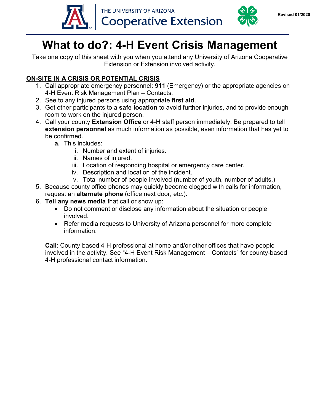



# **What to do?: 4-H Event Crisis Management**

Take one copy of this sheet with you when you attend any University of Arizona Cooperative Extension or Extension involved activity.

#### **ON-SITE IN A CRISIS OR POTENTIAL CRISIS**

- 1. Call appropriate emergency personnel: **911** (Emergency) or the appropriate agencies on 4-H Event Risk Management Plan – Contacts.
- 2. See to any injured persons using appropriate **first aid**.
- 3. Get other participants to a **safe location** to avoid further injuries, and to provide enough room to work on the injured person.
- 4. Call your county **Extension Office** or 4-H staff person immediately. Be prepared to tell **extension personnel** as much information as possible, even information that has yet to be confirmed.
	- **a.** This includes:
		- i. Number and extent of injuries.
		- ii. Names of injured.
		- iii. Location of responding hospital or emergency care center.
		- iv. Description and location of the incident.
		- v. Total number of people involved (number of youth, number of adults.)
- 5. Because county office phones may quickly become clogged with calls for information, request an **alternate phone** (office next door, etc.).
- 6. **Tell any news media** that call or show up:
	- Do not comment or disclose any information about the situation or people involved.
	- Refer media requests to University of Arizona personnel for more complete information.

**Call**: County-based 4-H professional at home and/or other offices that have people involved in the activity. See "4-H Event Risk Management – Contacts" for county-based 4-H professional contact information.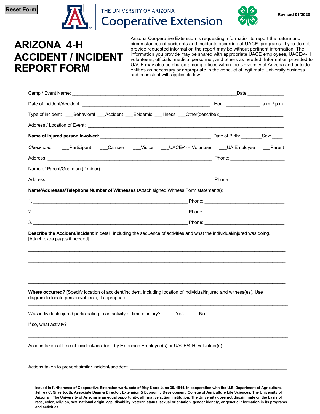

THE UNIVERSITY OF ARIZONA **Cooperative Extension** 



**Revised 01/2020**

# **ARIZONA 4-H ACCIDENT / INCIDENT REPORT FORM**

Arizona Cooperative Extension is requesting information to report the nature and circumstances of accidents and incidents occurring at UACE programs. If you do not provide requested information the report may be without pertinent information. The information you provide may be shared with appropriate UACE employees, UACE/4-H volunteers, officials, medical personnel, and others as needed. Information provided to UACE may also be shared among offices within the University of Arizona and outside entities as necessary or appropriate in the conduct of legitimate University business and consistent with applicable law.

|                                                                                                                                                                                                                                                                      |  | _Date:_______________ |
|----------------------------------------------------------------------------------------------------------------------------------------------------------------------------------------------------------------------------------------------------------------------|--|-----------------------|
|                                                                                                                                                                                                                                                                      |  |                       |
| Type of incident: ___Behavioral ___Accident ___Epidemic ___Illness ___Other(describe):_______________________                                                                                                                                                        |  |                       |
|                                                                                                                                                                                                                                                                      |  |                       |
|                                                                                                                                                                                                                                                                      |  |                       |
| Check one: ___Participant ___Camper ___Visitor ___UACE/4-H Volunteer ___UA Employee ___Parent                                                                                                                                                                        |  |                       |
|                                                                                                                                                                                                                                                                      |  |                       |
|                                                                                                                                                                                                                                                                      |  |                       |
|                                                                                                                                                                                                                                                                      |  |                       |
| Name/Addresses/Telephone Number of Witnesses (Attach signed Witness Form statements):                                                                                                                                                                                |  |                       |
|                                                                                                                                                                                                                                                                      |  |                       |
|                                                                                                                                                                                                                                                                      |  |                       |
|                                                                                                                                                                                                                                                                      |  |                       |
| Describe the Accident/Incident in detail, including the sequence of activities and what the individual/injured was doing.<br>[Attach extra pages if needed]:                                                                                                         |  |                       |
|                                                                                                                                                                                                                                                                      |  |                       |
|                                                                                                                                                                                                                                                                      |  |                       |
| <b>Where occurred?</b> [Specify location of accident/incident, including location of individual/injured and witness(es). Use<br>diagram to locate persons/objects, if appropriate]:<br>Was individual/injured participating in an activity at time of injury? Yes No |  |                       |
| If so, what activity?                                                                                                                                                                                                                                                |  |                       |
| Actions taken at time of incident/accident: by Extension Employee(s) or UACE/4-H volunteer(s) ______________________                                                                                                                                                 |  |                       |

**Jeffrey C. Silvertooth, Associate Dean & Director, Extension & Economic Development, College of Agriculture Life Sciences, The University of Arizona. The University of Arizona is an equal opportunity, affirmative action institution. The University does not discriminate on the basis of race, color, religion, sex, national origin, age, disability, veteran status, sexual orientation, gender identity, or genetic information in its programs and activities.**